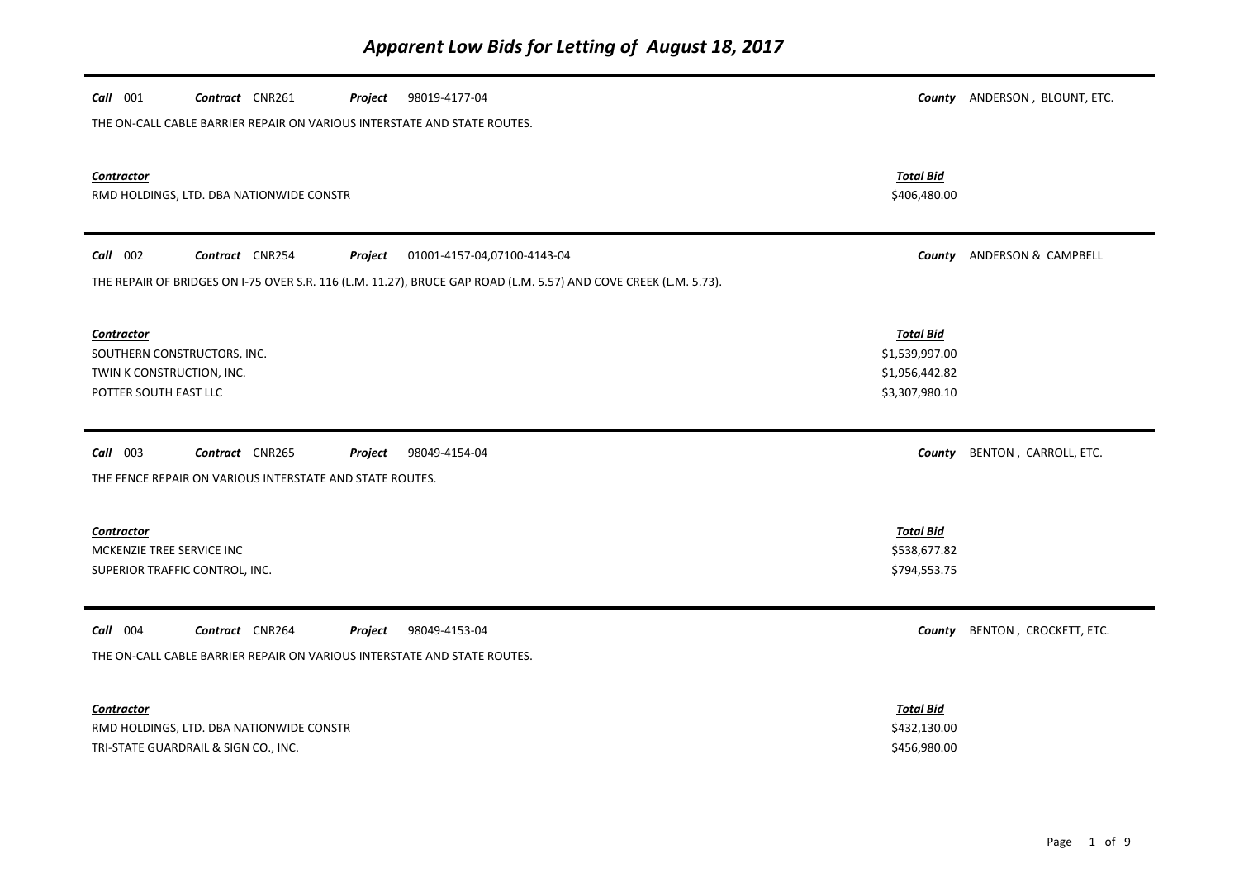| Call 001<br>Contract CNR261<br>98019-4177-04<br>Project<br>THE ON-CALL CABLE BARRIER REPAIR ON VARIOUS INTERSTATE AND STATE ROUTES. |                                                                        | County ANDERSON, BLOUNT, ETC. |
|-------------------------------------------------------------------------------------------------------------------------------------|------------------------------------------------------------------------|-------------------------------|
| <b>Contractor</b><br>RMD HOLDINGS, LTD. DBA NATIONWIDE CONSTR                                                                       | <b>Total Bid</b><br>\$406,480.00                                       |                               |
| Call 002<br>Contract CNR254<br>Project<br>01001-4157-04,07100-4143-04                                                               | County                                                                 | ANDERSON & CAMPBELL           |
| THE REPAIR OF BRIDGES ON I-75 OVER S.R. 116 (L.M. 11.27), BRUCE GAP ROAD (L.M. 5.57) AND COVE CREEK (L.M. 5.73).                    |                                                                        |                               |
| <b>Contractor</b><br>SOUTHERN CONSTRUCTORS, INC.<br>TWIN K CONSTRUCTION, INC.<br>POTTER SOUTH EAST LLC                              | <b>Total Bid</b><br>\$1,539,997.00<br>\$1,956,442.82<br>\$3,307,980.10 |                               |
|                                                                                                                                     |                                                                        |                               |
| $Call$ 003<br>Contract CNR265<br>Project<br>98049-4154-04<br>THE FENCE REPAIR ON VARIOUS INTERSTATE AND STATE ROUTES.               | County                                                                 | BENTON, CARROLL, ETC.         |
| <b>Contractor</b><br>MCKENZIE TREE SERVICE INC<br>SUPERIOR TRAFFIC CONTROL, INC.                                                    | <b>Total Bid</b><br>\$538,677.82<br>\$794,553.75                       |                               |
| Call 004<br>Contract CNR264<br>98049-4153-04<br>Project<br>THE ON-CALL CABLE BARRIER REPAIR ON VARIOUS INTERSTATE AND STATE ROUTES. | County                                                                 | BENTON, CROCKETT, ETC.        |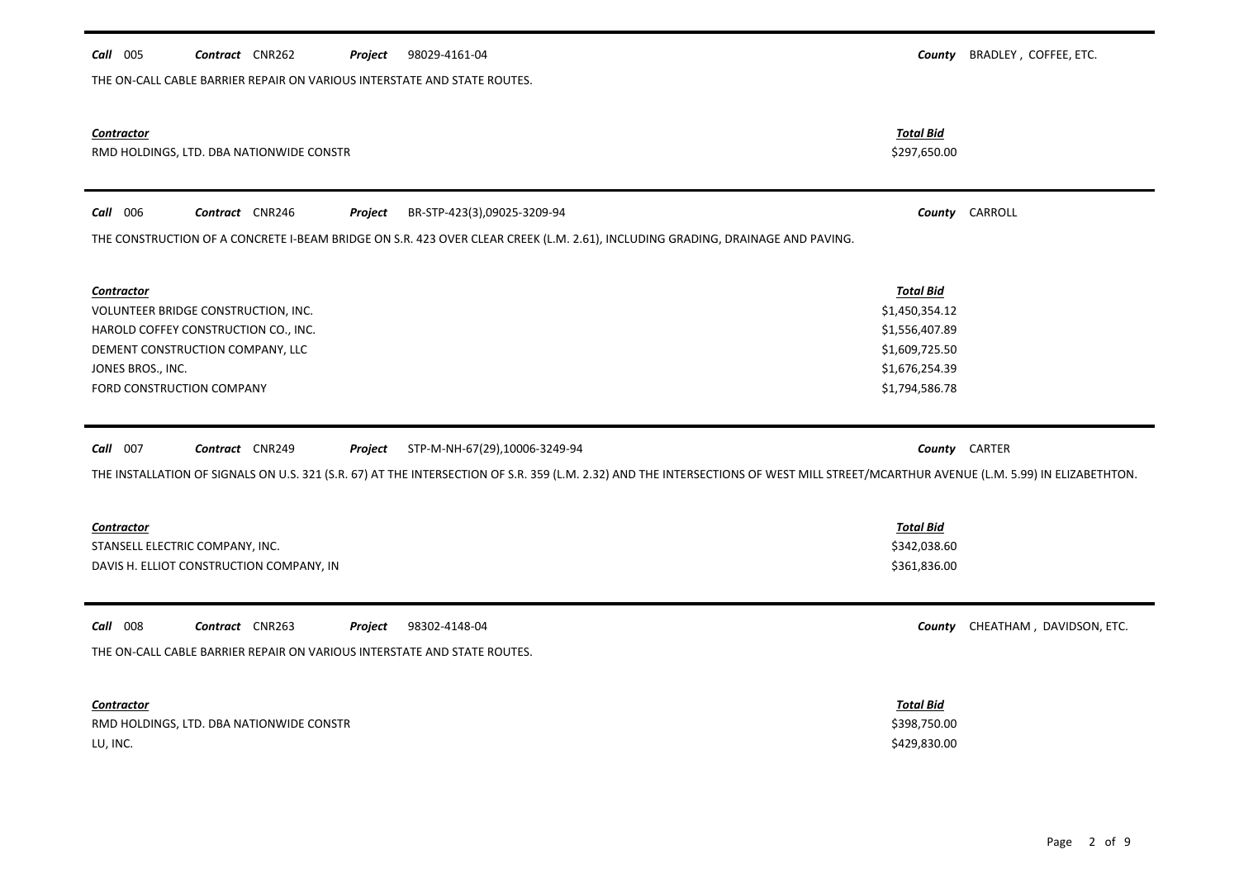|                                          | Contract CNR262 | Project | 98029-4161-04                                                                                                                                                                        | County           | BRADLEY, COFFEE, ETC.           |
|------------------------------------------|-----------------|---------|--------------------------------------------------------------------------------------------------------------------------------------------------------------------------------------|------------------|---------------------------------|
|                                          |                 |         | THE ON-CALL CABLE BARRIER REPAIR ON VARIOUS INTERSTATE AND STATE ROUTES.                                                                                                             |                  |                                 |
|                                          |                 |         |                                                                                                                                                                                      |                  |                                 |
|                                          |                 |         |                                                                                                                                                                                      |                  |                                 |
| Contractor                               |                 |         |                                                                                                                                                                                      | <b>Total Bid</b> |                                 |
| RMD HOLDINGS, LTD. DBA NATIONWIDE CONSTR |                 |         |                                                                                                                                                                                      | \$297,650.00     |                                 |
|                                          |                 |         |                                                                                                                                                                                      |                  |                                 |
| Call 006                                 | Contract CNR246 | Project | BR-STP-423(3),09025-3209-94                                                                                                                                                          |                  | County CARROLL                  |
|                                          |                 |         | THE CONSTRUCTION OF A CONCRETE I-BEAM BRIDGE ON S.R. 423 OVER CLEAR CREEK (L.M. 2.61), INCLUDING GRADING, DRAINAGE AND PAVING.                                                       |                  |                                 |
|                                          |                 |         |                                                                                                                                                                                      |                  |                                 |
| <b>Contractor</b>                        |                 |         |                                                                                                                                                                                      | <b>Total Bid</b> |                                 |
| VOLUNTEER BRIDGE CONSTRUCTION, INC.      |                 |         |                                                                                                                                                                                      | \$1,450,354.12   |                                 |
| HAROLD COFFEY CONSTRUCTION CO., INC.     |                 |         |                                                                                                                                                                                      | \$1,556,407.89   |                                 |
| DEMENT CONSTRUCTION COMPANY, LLC         |                 |         |                                                                                                                                                                                      | \$1,609,725.50   |                                 |
| JONES BROS., INC.                        |                 |         |                                                                                                                                                                                      | \$1,676,254.39   |                                 |
| FORD CONSTRUCTION COMPANY                |                 |         |                                                                                                                                                                                      | \$1,794,586.78   |                                 |
|                                          |                 |         |                                                                                                                                                                                      |                  |                                 |
|                                          |                 |         |                                                                                                                                                                                      |                  |                                 |
| Call 007                                 | Contract CNR249 | Project | STP-M-NH-67(29),10006-3249-94                                                                                                                                                        |                  | County CARTER                   |
|                                          |                 |         | THE INSTALLATION OF SIGNALS ON U.S. 321 (S.R. 67) AT THE INTERSECTION OF S.R. 359 (L.M. 2.32) AND THE INTERSECTIONS OF WEST MILL STREET/MCARTHUR AVENUE (L.M. 5.99) IN ELIZABETHTON. |                  |                                 |
|                                          |                 |         |                                                                                                                                                                                      |                  |                                 |
|                                          |                 |         |                                                                                                                                                                                      |                  |                                 |
| Contractor                               |                 |         |                                                                                                                                                                                      | <b>Total Bid</b> |                                 |
| STANSELL ELECTRIC COMPANY, INC.          |                 |         |                                                                                                                                                                                      | \$342,038.60     |                                 |
| DAVIS H. ELLIOT CONSTRUCTION COMPANY, IN |                 |         |                                                                                                                                                                                      | \$361,836.00     |                                 |
|                                          |                 |         |                                                                                                                                                                                      |                  |                                 |
|                                          |                 |         |                                                                                                                                                                                      |                  |                                 |
| Call 008                                 | Contract CNR263 | Project | 98302-4148-04                                                                                                                                                                        |                  | County CHEATHAM, DAVIDSON, ETC. |
|                                          |                 |         | THE ON-CALL CABLE BARRIER REPAIR ON VARIOUS INTERSTATE AND STATE ROUTES.                                                                                                             |                  |                                 |
|                                          |                 |         |                                                                                                                                                                                      |                  |                                 |
|                                          |                 |         |                                                                                                                                                                                      |                  |                                 |
| <b>Contractor</b>                        |                 |         |                                                                                                                                                                                      | <b>Total Bid</b> |                                 |
| RMD HOLDINGS, LTD. DBA NATIONWIDE CONSTR |                 |         |                                                                                                                                                                                      | \$398,750.00     |                                 |
| LU, INC.                                 |                 |         |                                                                                                                                                                                      | \$429,830.00     |                                 |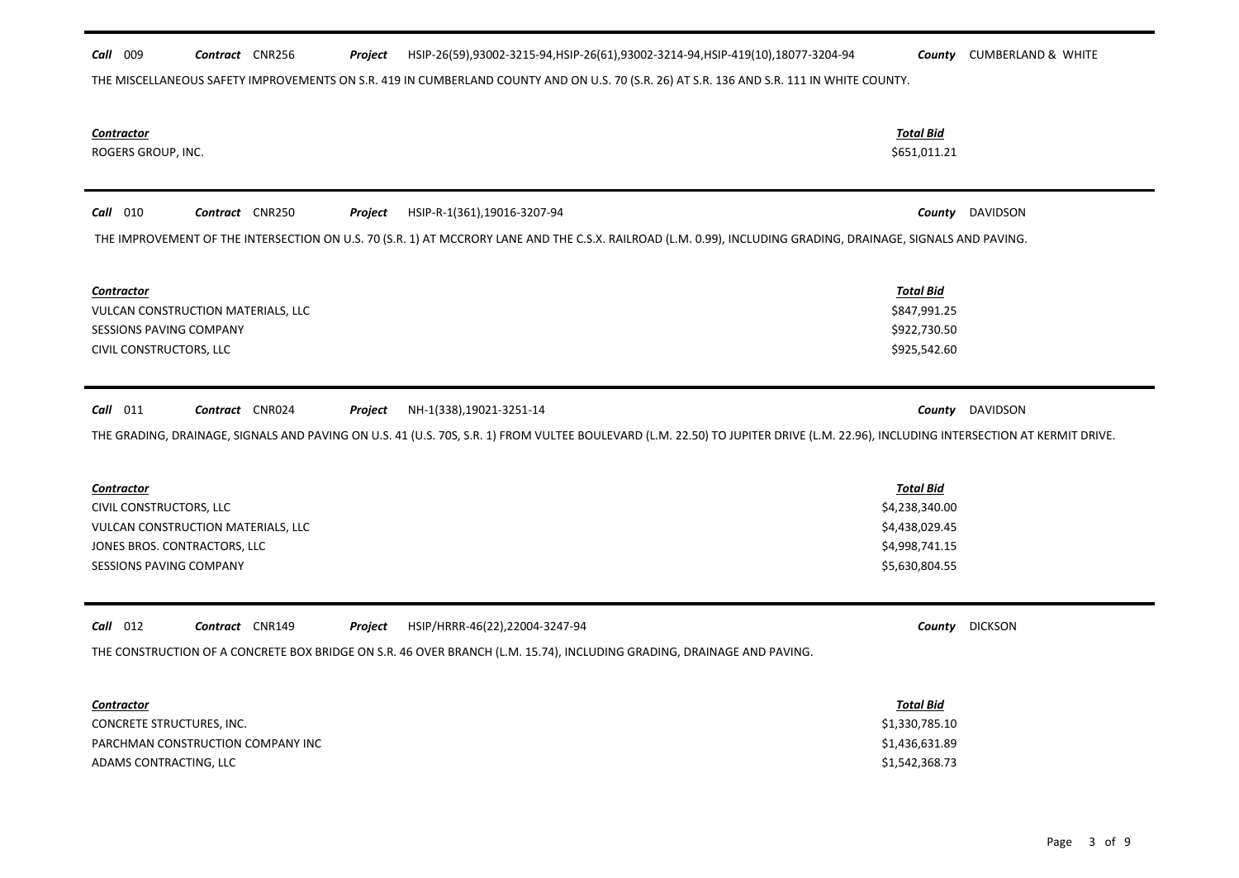| Call 009                       | Contract CNR256                    | Project | HSIP-26(59),93002-3215-94,HSIP-26(61),93002-3214-94,HSIP-419(10),18077-3204-94                                                                                                    |                                    | <b>County</b> CUMBERLAND & WHITE |
|--------------------------------|------------------------------------|---------|-----------------------------------------------------------------------------------------------------------------------------------------------------------------------------------|------------------------------------|----------------------------------|
|                                |                                    |         | THE MISCELLANEOUS SAFETY IMPROVEMENTS ON S.R. 419 IN CUMBERLAND COUNTY AND ON U.S. 70 (S.R. 26) AT S.R. 136 AND S.R. 111 IN WHITE COUNTY.                                         |                                    |                                  |
|                                |                                    |         |                                                                                                                                                                                   |                                    |                                  |
| Contractor                     |                                    |         |                                                                                                                                                                                   | <b>Total Bid</b>                   |                                  |
| ROGERS GROUP, INC.             |                                    |         |                                                                                                                                                                                   | \$651,011.21                       |                                  |
|                                |                                    |         |                                                                                                                                                                                   |                                    |                                  |
| $Call$ 010                     | Contract CNR250                    | Project | HSIP-R-1(361),19016-3207-94                                                                                                                                                       |                                    | <b>County</b> DAVIDSON           |
|                                |                                    |         | THE IMPROVEMENT OF THE INTERSECTION ON U.S. 70 (S.R. 1) AT MCCRORY LANE AND THE C.S.X. RAILROAD (L.M. 0.99), INCLUDING GRADING, DRAINAGE, SIGNALS AND PAVING.                     |                                    |                                  |
|                                |                                    |         |                                                                                                                                                                                   |                                    |                                  |
| Contractor                     |                                    |         |                                                                                                                                                                                   | <b>Total Bid</b>                   |                                  |
|                                | VULCAN CONSTRUCTION MATERIALS, LLC |         |                                                                                                                                                                                   | \$847,991.25                       |                                  |
| SESSIONS PAVING COMPANY        |                                    |         |                                                                                                                                                                                   | \$922,730.50                       |                                  |
| CIVIL CONSTRUCTORS, LLC        |                                    |         |                                                                                                                                                                                   | \$925,542.60                       |                                  |
|                                |                                    |         |                                                                                                                                                                                   |                                    |                                  |
| $Call$ 011                     | Contract CNR024                    | Project | NH-1(338),19021-3251-14                                                                                                                                                           |                                    | <b>County</b> DAVIDSON           |
|                                |                                    |         |                                                                                                                                                                                   |                                    |                                  |
|                                |                                    |         | THE GRADING, DRAINAGE, SIGNALS AND PAVING ON U.S. 41 (U.S. 70S, S.R. 1) FROM VULTEE BOULEVARD (L.M. 22.50) TO JUPITER DRIVE (L.M. 22.96), INCLUDING INTERSECTION AT KERMIT DRIVE. |                                    |                                  |
|                                |                                    |         |                                                                                                                                                                                   |                                    |                                  |
| <b>Contractor</b>              |                                    |         |                                                                                                                                                                                   | <b>Total Bid</b><br>\$4,238,340.00 |                                  |
| CIVIL CONSTRUCTORS, LLC        | VULCAN CONSTRUCTION MATERIALS, LLC |         |                                                                                                                                                                                   | \$4,438,029.45                     |                                  |
| JONES BROS. CONTRACTORS, LLC   |                                    |         |                                                                                                                                                                                   | \$4,998,741.15                     |                                  |
| <b>SESSIONS PAVING COMPANY</b> |                                    |         |                                                                                                                                                                                   | \$5,630,804.55                     |                                  |
|                                |                                    |         |                                                                                                                                                                                   |                                    |                                  |
| $Call$ 012                     | Contract CNR149                    |         |                                                                                                                                                                                   |                                    |                                  |
|                                |                                    | Project | HSIP/HRRR-46(22),22004-3247-94                                                                                                                                                    |                                    | County DICKSON                   |
|                                |                                    |         | THE CONSTRUCTION OF A CONCRETE BOX BRIDGE ON S.R. 46 OVER BRANCH (L.M. 15.74), INCLUDING GRADING, DRAINAGE AND PAVING.                                                            |                                    |                                  |
|                                |                                    |         |                                                                                                                                                                                   |                                    |                                  |
| Contractor                     |                                    |         |                                                                                                                                                                                   | <b>Total Bid</b>                   |                                  |
| CONCRETE STRUCTURES, INC.      |                                    |         |                                                                                                                                                                                   | \$1,330,785.10                     |                                  |
|                                | PARCHMAN CONSTRUCTION COMPANY INC  |         |                                                                                                                                                                                   | \$1,436,631.89<br>\$1,542,368.73   |                                  |
| ADAMS CONTRACTING, LLC         |                                    |         |                                                                                                                                                                                   |                                    |                                  |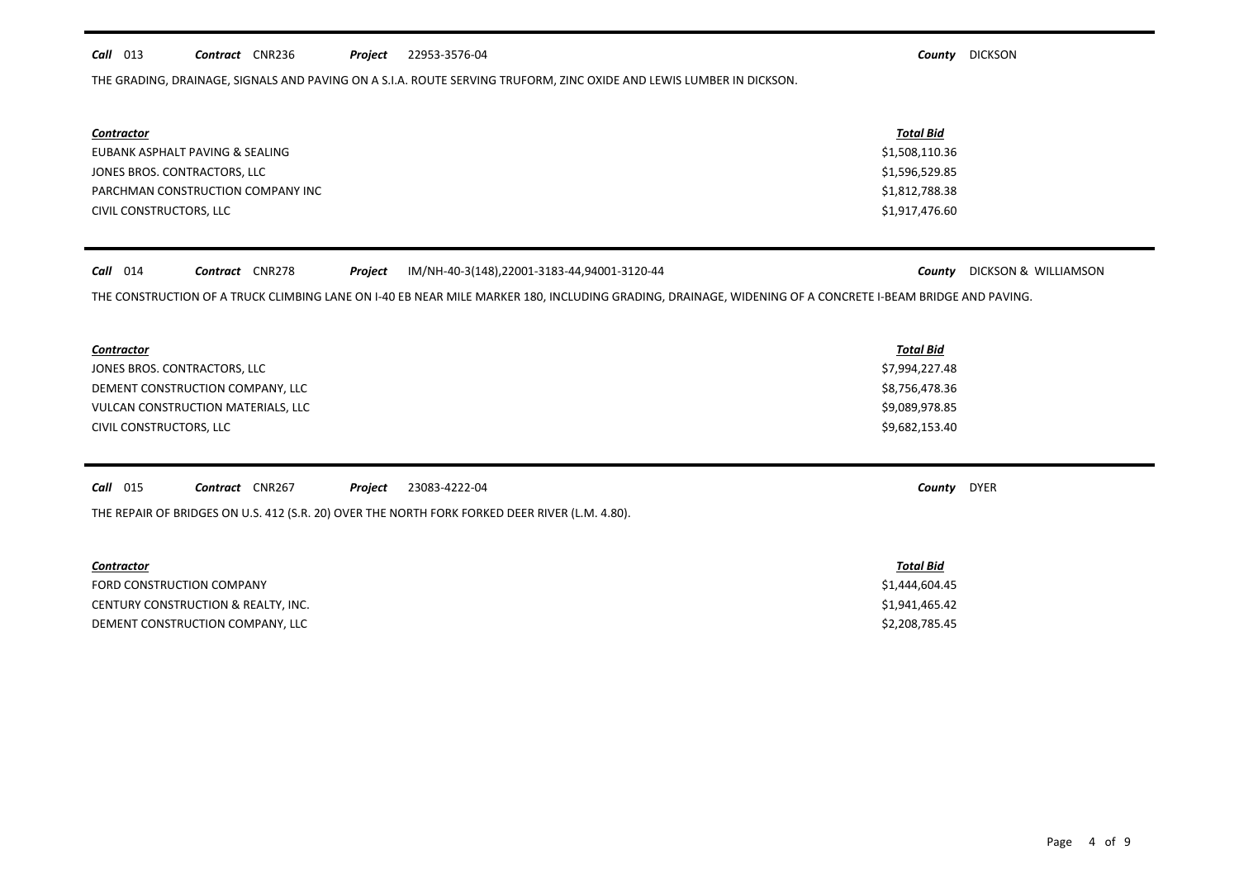# *Call* 013 *Contract* CNR236 *Project County* DICKSON 22953-3576-04

THE GRADING, DRAINAGE, SIGNALS AND PAVING ON A S.I.A. ROUTE SERVING TRUFORM, ZINC OXIDE AND LEWIS LUMBER IN DICKSON.

| <b>Contractor</b>                 | <b>Total Bid</b> |
|-----------------------------------|------------------|
| EUBANK ASPHALT PAVING & SEALING   | \$1,508,110.36   |
| JONES BROS. CONTRACTORS, LLC      | \$1,596,529.85   |
| PARCHMAN CONSTRUCTION COMPANY INC | \$1,812,788.38   |
| CIVIL CONSTRUCTORS, LLC           | \$1,917,476.60   |

# *Call* 014 *Contract* CNR278 *Project County* DICKSON & WILLIAMSON IM/NH-40-3(148),22001-3183-44,94001-3120-44

THE CONSTRUCTION OF A TRUCK CLIMBING LANE ON I-40 EB NEAR MILE MARKER 180, INCLUDING GRADING, DRAINAGE, WIDENING OF A CONCRETE I-BEAM BRIDGE AND PAVING.

| <b>Contractor</b>                  | <u>Total Bid</u> |
|------------------------------------|------------------|
| JONES BROS. CONTRACTORS, LLC       | \$7,994,227.48   |
| DEMENT CONSTRUCTION COMPANY, LLC   | \$8,756,478.36   |
| VULCAN CONSTRUCTION MATERIALS, LLC | \$9,089,978.85   |
| CIVIL CONSTRUCTORS, LLC            | \$9,682,153.40   |

| <b>Call</b> 015 | Contract | <b>CNR267</b> | Project | 23083-4222-04 | County | <b>DYER</b> |  |
|-----------------|----------|---------------|---------|---------------|--------|-------------|--|
|-----------------|----------|---------------|---------|---------------|--------|-------------|--|

THE REPAIR OF BRIDGES ON U.S. 412 (S.R. 20) OVER THE NORTH FORK FORKED DEER RIVER (L.M. 4.80).

| <b>Contractor</b>                   | Total Bid      |
|-------------------------------------|----------------|
| FORD CONSTRUCTION COMPANY           | \$1,444,604.45 |
| CENTURY CONSTRUCTION & REALTY, INC. | \$1,941,465.42 |
| DEMENT CONSTRUCTION COMPANY, LLC    | \$2,208,785.45 |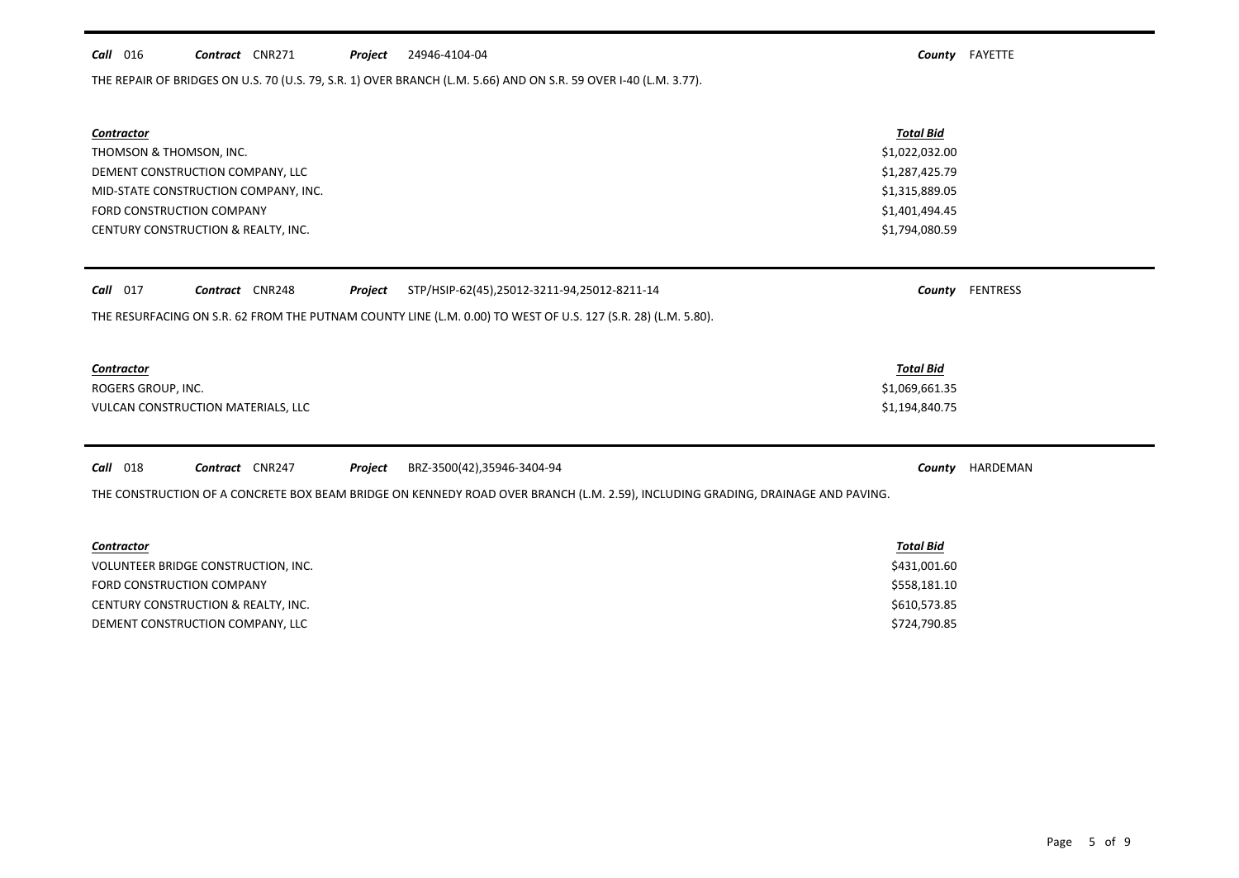# *Call* 016 *Contract* CNR271 *Project County* FAYETTE 24946-4104-04

THE REPAIR OF BRIDGES ON U.S. 70 (U.S. 79, S.R. 1) OVER BRANCH (L.M. 5.66) AND ON S.R. 59 OVER I-40 (L.M. 3.77).

| Contractor<br>THOMSON & THOMSON, INC.<br>DEMENT CONSTRUCTION COMPANY, LLC<br>MID-STATE CONSTRUCTION COMPANY, INC.<br>FORD CONSTRUCTION COMPANY<br>CENTURY CONSTRUCTION & REALTY, INC.                          | <b>Total Bid</b><br>\$1,022,032.00<br>\$1,287,425.79<br>\$1,315,889.05<br>\$1,401,494.45<br>\$1,794,080.59 |                 |
|----------------------------------------------------------------------------------------------------------------------------------------------------------------------------------------------------------------|------------------------------------------------------------------------------------------------------------|-----------------|
| $Call$ 017<br>Contract CNR248<br>Project<br>STP/HSIP-62(45),25012-3211-94,25012-8211-14<br>THE RESURFACING ON S.R. 62 FROM THE PUTNAM COUNTY LINE (L.M. 0.00) TO WEST OF U.S. 127 (S.R. 28) (L.M. 5.80).       | County                                                                                                     | FENTRESS        |
| Contractor<br>ROGERS GROUP, INC.<br>VULCAN CONSTRUCTION MATERIALS, LLC                                                                                                                                         | <b>Total Bid</b><br>\$1,069,661.35<br>\$1,194,840.75                                                       |                 |
| <b>Call</b> 018<br>Contract CNR247<br>Project<br>BRZ-3500(42),35946-3404-94<br>THE CONSTRUCTION OF A CONCRETE BOX BEAM BRIDGE ON KENNEDY ROAD OVER BRANCH (L.M. 2.59), INCLUDING GRADING, DRAINAGE AND PAVING. |                                                                                                            | County HARDEMAN |
| Contractor<br>VOLUNTEER BRIDGE CONSTRUCTION, INC.<br>FORD CONSTRUCTION COMPANY                                                                                                                                 | <b>Total Bid</b><br>\$431,001.60<br>\$558,181.10                                                           |                 |

CENTURY CONSTRUCTION & REALTY, INC. **Example 20 and 20 and 20 and 20 and 20 and 20 and 20 and 20 and 20 and 20 and 20 and 20 and 20 and 20 and 20 and 20 and 20 and 20 and 20 and 20 and 20 and 20 and 20 and 20 and 20 and 20** DEMENT CONSTRUCTION COMPANY, LLC \$724,790.85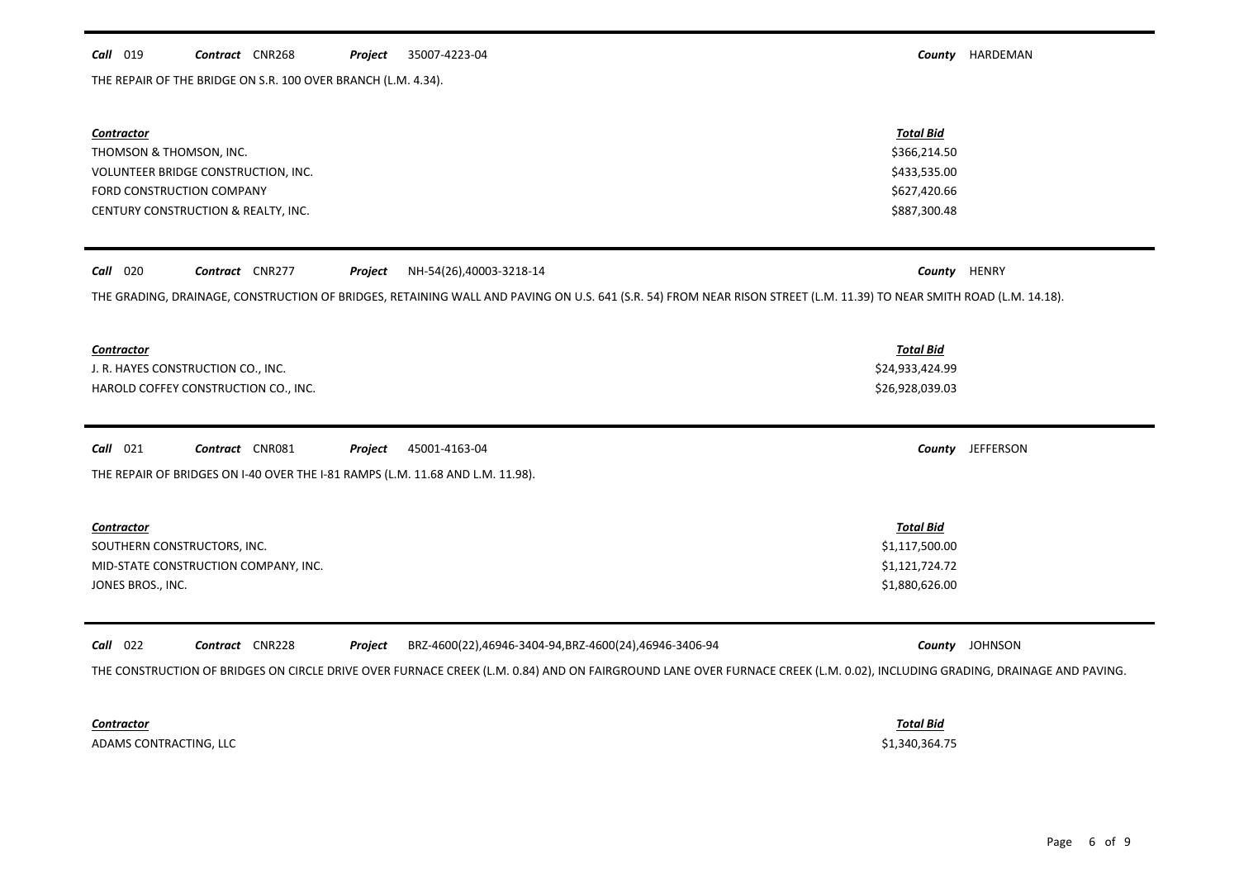# *Call* 019 *Contract* CNR268 *Project County* HARDEMAN 35007-4223-04

THE REPAIR OF THE BRIDGE ON S.R. 100 OVER BRANCH (L.M. 4.34).

| <b>Contractor</b><br>THOMSON & THOMSON, INC.<br>VOLUNTEER BRIDGE CONSTRUCTION, INC.<br>FORD CONSTRUCTION COMPANY<br>CENTURY CONSTRUCTION & REALTY, INC.                                                                                                                        | <b>Total Bid</b><br>\$366,214.50<br>\$433,535.00<br>\$627,420.66<br>\$887,300.48 |                  |
|--------------------------------------------------------------------------------------------------------------------------------------------------------------------------------------------------------------------------------------------------------------------------------|----------------------------------------------------------------------------------|------------------|
| <b>Call</b> 020<br>Contract CNR277<br>NH-54(26),40003-3218-14<br>Project<br>THE GRADING, DRAINAGE, CONSTRUCTION OF BRIDGES, RETAINING WALL AND PAVING ON U.S. 641 (S.R. 54) FROM NEAR RISON STREET (L.M. 11.39) TO NEAR SMITH ROAD (L.M. 14.18).                               | County                                                                           | HENRY            |
| <b>Contractor</b><br>J. R. HAYES CONSTRUCTION CO., INC.<br>HAROLD COFFEY CONSTRUCTION CO., INC.                                                                                                                                                                                | <b>Total Bid</b><br>\$24,933,424.99<br>\$26,928,039.03                           |                  |
| Call 021<br>Contract CNR081<br>45001-4163-04<br>Project<br>THE REPAIR OF BRIDGES ON I-40 OVER THE I-81 RAMPS (L.M. 11.68 AND L.M. 11.98).                                                                                                                                      |                                                                                  | County JEFFERSON |
| Contractor<br>SOUTHERN CONSTRUCTORS, INC.<br>MID-STATE CONSTRUCTION COMPANY, INC.<br>JONES BROS., INC.                                                                                                                                                                         | <b>Total Bid</b><br>\$1,117,500.00<br>\$1,121,724.72<br>\$1,880,626.00           |                  |
| Contract CNR228<br>$Call$ 022<br>BRZ-4600(22),46946-3404-94,BRZ-4600(24),46946-3406-94<br>Project<br>THE CONSTRUCTION OF BRIDGES ON CIRCLE DRIVE OVER FURNACE CREEK (L.M. 0.84) AND ON FAIRGROUND LANE OVER FURNACE CREEK (L.M. 0.02), INCLUDING GRADING, DRAINAGE AND PAVING. |                                                                                  | County JOHNSON   |

*Contractor Total Bid*

ADAMS CONTRACTING, LLC \$1,340,364.75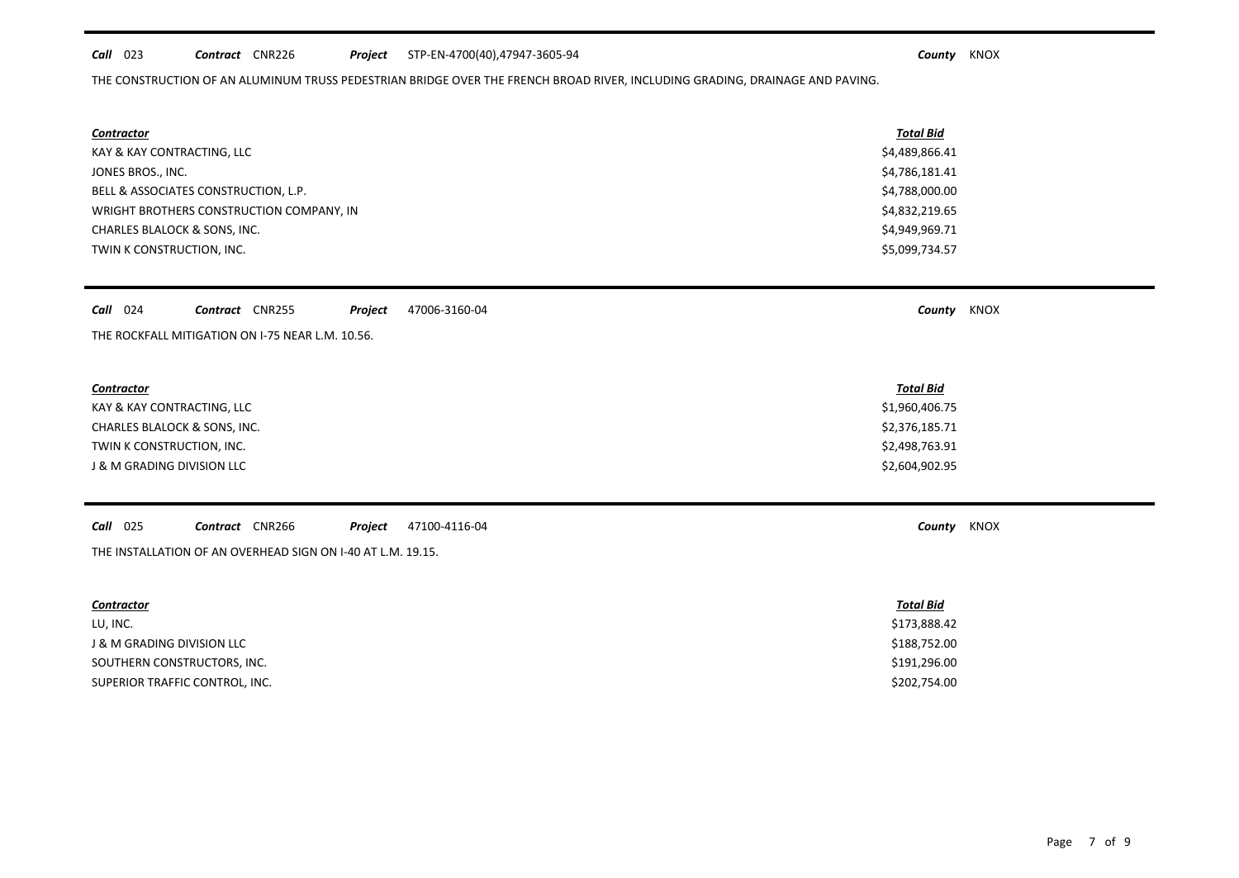# *Call* 023 *Contract* CNR226 *Project County* KNOX STP-EN-4700(40),47947-3605-94

THE CONSTRUCTION OF AN ALUMINUM TRUSS PEDESTRIAN BRIDGE OVER THE FRENCH BROAD RIVER, INCLUDING GRADING, DRAINAGE AND PAVING.

| <b>Contractor</b>                        | Total Bid      |
|------------------------------------------|----------------|
| KAY & KAY CONTRACTING, LLC               | \$4,489,866.41 |
| JONES BROS., INC.                        | \$4,786,181.41 |
| BELL & ASSOCIATES CONSTRUCTION, L.P.     | \$4,788,000.00 |
| WRIGHT BROTHERS CONSTRUCTION COMPANY, IN | \$4,832,219.65 |
| <b>CHARLES BLALOCK &amp; SONS, INC.</b>  | \$4,949,969.71 |
| TWIN K CONSTRUCTION, INC.                | \$5,099,734.57 |

| Call 024<br>47006-3160-04<br><b>CNR255</b><br>Project<br>Contract | county | <b>KNOX</b> |
|-------------------------------------------------------------------|--------|-------------|
|-------------------------------------------------------------------|--------|-------------|

THE ROCKFALL MITIGATION ON I-75 NEAR L.M. 10.56.

# *Contractor Total Bid*

KAY & KAY CONTRACTING, LLC \$1,960,406.75 CHARLES BLALOCK & SONS, INC. Samples of the state of the state of the state of the state of the state of the state of the state of the state of the state of the state of the state of the state of the state of the state of TWIN K CONSTRUCTION, INC. \$2,498,763.91 J & M GRADING DIVISION LLC \$2,604,902.95

*Call* 025 *Contract* CNR266 *Project County* KNOX 47100-4116-04

THE INSTALLATION OF AN OVERHEAD SIGN ON I-40 AT L.M. 19.15.

| Contractor                     | <b>Total Bid</b> |
|--------------------------------|------------------|
| LU, INC.                       | \$173,888.42     |
| J & M GRADING DIVISION LLC     | \$188,752.00     |
| SOUTHERN CONSTRUCTORS, INC.    | \$191,296.00     |
| SUPERIOR TRAFFIC CONTROL, INC. | \$202,754.00     |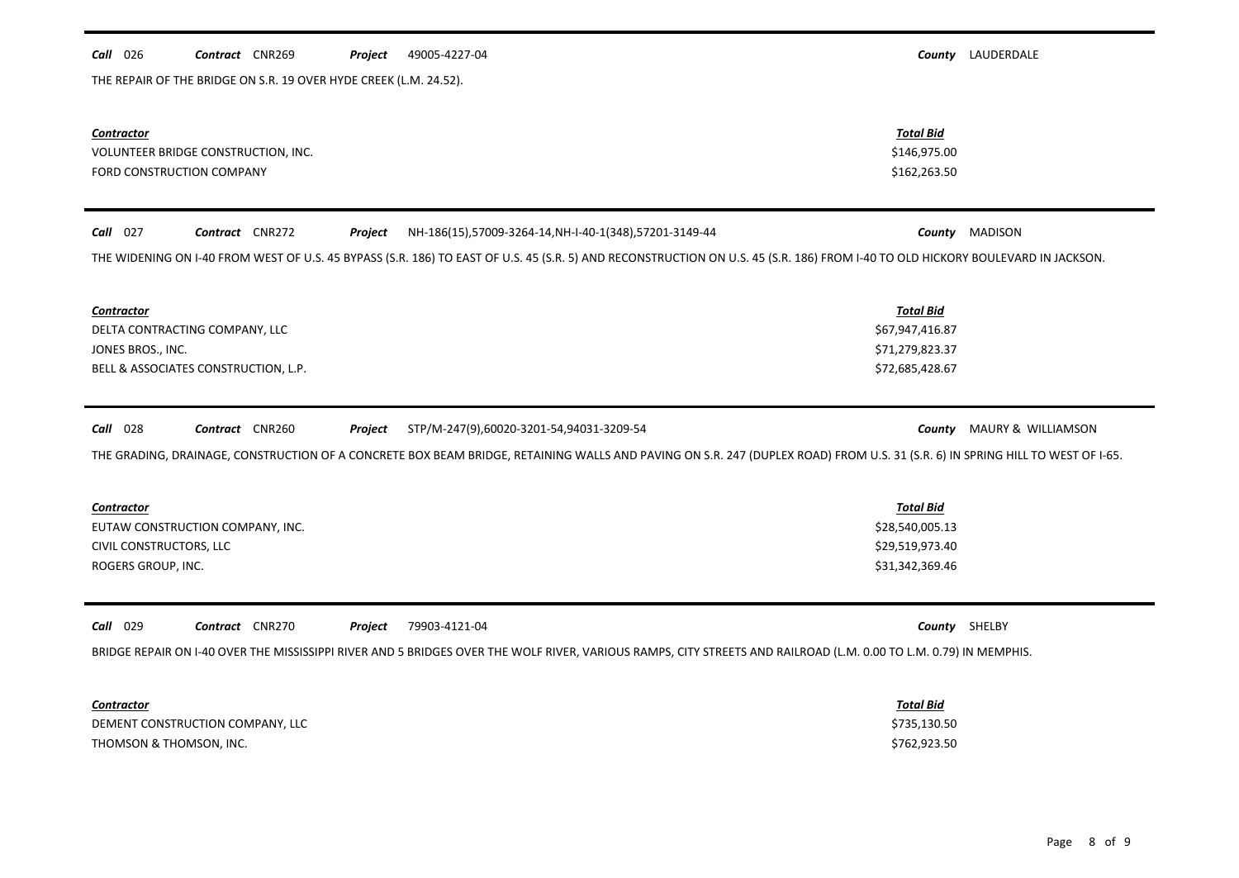| $Call$ 026<br><b>Contract</b> CNR269 |  |  |  | <b>Project</b> | 49005-4227-04 |
|--------------------------------------|--|--|--|----------------|---------------|
|--------------------------------------|--|--|--|----------------|---------------|

THE REPAIR OF THE BRIDGE ON S.R. 19 OVER HYDE CREEK (L.M. 24.52).

*Call* 026 *Contract* CNR269 *Project County* LAUDERDALE

| <b>Contractor</b><br>VOLUNTEER BRIDGE CONSTRUCTION, INC.<br>FORD CONSTRUCTION COMPANY                                                                                                                                                                                                  | <b>Total Bid</b><br>\$146,975.00<br>\$162,263.50                          |                       |
|----------------------------------------------------------------------------------------------------------------------------------------------------------------------------------------------------------------------------------------------------------------------------------------|---------------------------------------------------------------------------|-----------------------|
| $Call$ 027<br>Contract CNR272<br>NH-186(15),57009-3264-14, NH-I-40-1(348), 57201-3149-44<br>Project<br>THE WIDENING ON I-40 FROM WEST OF U.S. 45 BYPASS (S.R. 186) TO EAST OF U.S. 45 (S.R. 5) AND RECONSTRUCTION ON U.S. 45 (S.R. 186) FROM I-40 TO OLD HICKORY BOULEVARD IN JACKSON. |                                                                           | <b>County</b> MADISON |
| <b>Contractor</b><br>DELTA CONTRACTING COMPANY, LLC<br>JONES BROS., INC.<br>BELL & ASSOCIATES CONSTRUCTION, L.P.                                                                                                                                                                       | <b>Total Bid</b><br>\$67,947,416.87<br>\$71,279,823.37<br>\$72,685,428.67 |                       |
| <b>Call</b> 028<br>Contract CNR260<br>STP/M-247(9),60020-3201-54,94031-3209-54<br>Project<br>THE GRADING, DRAINAGE, CONSTRUCTION OF A CONCRETE BOX BEAM BRIDGE, RETAINING WALLS AND PAVING ON S.R. 247 (DUPLEX ROAD) FROM U.S. 31 (S.R. 6) IN SPRING HILL TO WEST OF I-65.             | County                                                                    | MAURY & WILLIAMSON    |
| Contractor<br>EUTAW CONSTRUCTION COMPANY, INC.<br>CIVIL CONSTRUCTORS, LLC<br>ROGERS GROUP, INC.                                                                                                                                                                                        | <b>Total Bid</b><br>\$28,540,005.13<br>\$29,519,973.40<br>\$31,342,369.46 |                       |
| Call 029<br>Contract CNR270<br>79903-4121-04<br>Project<br>BRIDGE REPAIR ON I-40 OVER THE MISSISSIPPI RIVER AND 5 BRIDGES OVER THE WOLF RIVER, VARIOUS RAMPS, CITY STREETS AND RAILROAD (L.M. 0.00 TO L.M. 0.79) IN MEMPHIS.                                                           |                                                                           | County SHELBY         |
| Contractor<br>DEMENT CONSTRUCTION COMPANY, LLC<br>THOMSON & THOMSON, INC.                                                                                                                                                                                                              | <b>Total Bid</b><br>\$735,130.50<br>\$762,923.50                          |                       |